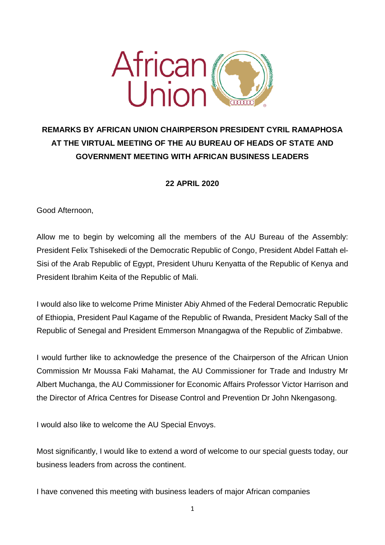

## **REMARKS BY AFRICAN UNION CHAIRPERSON PRESIDENT CYRIL RAMAPHOSA AT THE VIRTUAL MEETING OF THE AU BUREAU OF HEADS OF STATE AND GOVERNMENT MEETING WITH AFRICAN BUSINESS LEADERS**

**22 APRIL 2020**

Good Afternoon,

Allow me to begin by welcoming all the members of the AU Bureau of the Assembly: President Felix Tshisekedi of the Democratic Republic of Congo, President Abdel Fattah el-Sisi of the Arab Republic of Egypt, President Uhuru Kenyatta of the Republic of Kenya and President Ibrahim Keita of the Republic of Mali.

I would also like to welcome Prime Minister Abiy Ahmed of the Federal Democratic Republic of Ethiopia, President Paul Kagame of the Republic of Rwanda, President Macky Sall of the Republic of Senegal and President Emmerson Mnangagwa of the Republic of Zimbabwe.

I would further like to acknowledge the presence of the Chairperson of the African Union Commission Mr Moussa Faki Mahamat, the AU Commissioner for Trade and Industry Mr Albert Muchanga, the AU Commissioner for Economic Affairs Professor Victor Harrison and the Director of Africa Centres for Disease Control and Prevention Dr John Nkengasong.

I would also like to welcome the AU Special Envoys.

Most significantly, I would like to extend a word of welcome to our special guests today, our business leaders from across the continent.

I have convened this meeting with business leaders of major African companies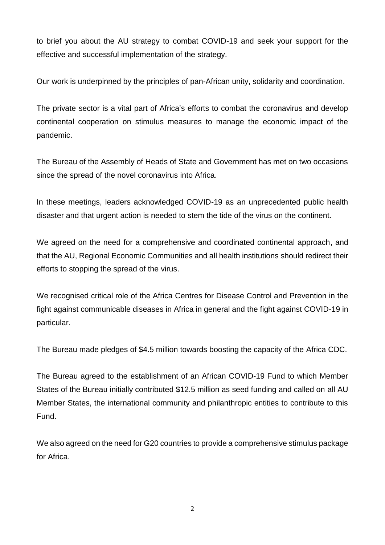to brief you about the AU strategy to combat COVID-19 and seek your support for the effective and successful implementation of the strategy.

Our work is underpinned by the principles of pan-African unity, solidarity and coordination.

The private sector is a vital part of Africa's efforts to combat the coronavirus and develop continental cooperation on stimulus measures to manage the economic impact of the pandemic.

The Bureau of the Assembly of Heads of State and Government has met on two occasions since the spread of the novel coronavirus into Africa.

In these meetings, leaders acknowledged COVID-19 as an unprecedented public health disaster and that urgent action is needed to stem the tide of the virus on the continent.

We agreed on the need for a comprehensive and coordinated continental approach, and that the AU, Regional Economic Communities and all health institutions should redirect their efforts to stopping the spread of the virus.

We recognised critical role of the Africa Centres for Disease Control and Prevention in the fight against communicable diseases in Africa in general and the fight against COVID-19 in particular.

The Bureau made pledges of \$4.5 million towards boosting the capacity of the Africa CDC.

The Bureau agreed to the establishment of an African COVID-19 Fund to which Member States of the Bureau initially contributed \$12.5 million as seed funding and called on all AU Member States, the international community and philanthropic entities to contribute to this Fund.

We also agreed on the need for G20 countries to provide a comprehensive stimulus package for Africa.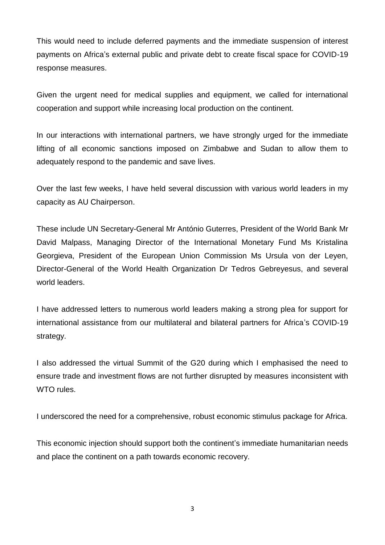This would need to include deferred payments and the immediate suspension of interest payments on Africa's external public and private debt to create fiscal space for COVID-19 response measures.

Given the urgent need for medical supplies and equipment, we called for international cooperation and support while increasing local production on the continent.

In our interactions with international partners, we have strongly urged for the immediate lifting of all economic sanctions imposed on Zimbabwe and Sudan to allow them to adequately respond to the pandemic and save lives.

Over the last few weeks, I have held several discussion with various world leaders in my capacity as AU Chairperson.

These include UN Secretary-General Mr António Guterres, President of the World Bank Mr David Malpass, Managing Director of the International Monetary Fund Ms Kristalina Georgieva, President of the European Union Commission Ms Ursula von der Leyen, Director-General of the World Health Organization Dr Tedros Gebreyesus, and several world leaders.

I have addressed letters to numerous world leaders making a strong plea for support for international assistance from our multilateral and bilateral partners for Africa's COVID-19 strategy.

I also addressed the virtual Summit of the G20 during which I emphasised the need to ensure trade and investment flows are not further disrupted by measures inconsistent with WTO rules.

I underscored the need for a comprehensive, robust economic stimulus package for Africa.

This economic injection should support both the continent's immediate humanitarian needs and place the continent on a path towards economic recovery.

3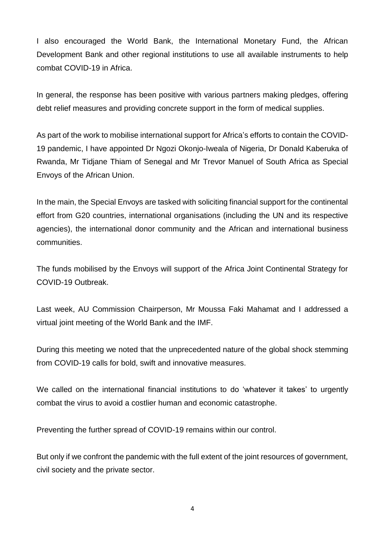I also encouraged the World Bank, the International Monetary Fund, the African Development Bank and other regional institutions to use all available instruments to help combat COVID-19 in Africa.

In general, the response has been positive with various partners making pledges, offering debt relief measures and providing concrete support in the form of medical supplies.

As part of the work to mobilise international support for Africa's efforts to contain the COVID-19 pandemic, I have appointed Dr Ngozi Okonjo-Iweala of Nigeria, Dr Donald Kaberuka of Rwanda, Mr Tidjane Thiam of Senegal and Mr Trevor Manuel of South Africa as Special Envoys of the African Union.

In the main, the Special Envoys are tasked with soliciting financial support for the continental effort from G20 countries, international organisations (including the UN and its respective agencies), the international donor community and the African and international business communities.

The funds mobilised by the Envoys will support of the Africa Joint Continental Strategy for COVID-19 Outbreak.

Last week, AU Commission Chairperson, Mr Moussa Faki Mahamat and I addressed a virtual joint meeting of the World Bank and the IMF.

During this meeting we noted that the unprecedented nature of the global shock stemming from COVID-19 calls for bold, swift and innovative measures.

We called on the international financial institutions to do 'whatever it takes' to urgently combat the virus to avoid a costlier human and economic catastrophe.

Preventing the further spread of COVID-19 remains within our control.

But only if we confront the pandemic with the full extent of the joint resources of government, civil society and the private sector.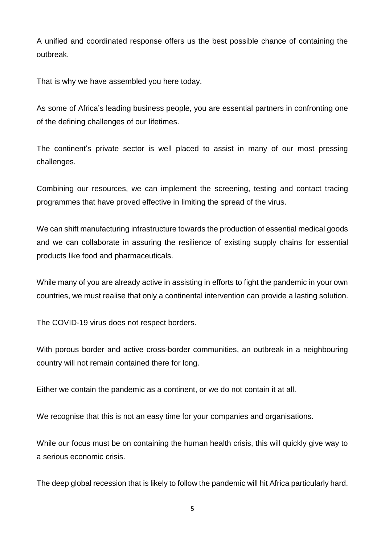A unified and coordinated response offers us the best possible chance of containing the outbreak.

That is why we have assembled you here today.

As some of Africa's leading business people, you are essential partners in confronting one of the defining challenges of our lifetimes.

The continent's private sector is well placed to assist in many of our most pressing challenges.

Combining our resources, we can implement the screening, testing and contact tracing programmes that have proved effective in limiting the spread of the virus.

We can shift manufacturing infrastructure towards the production of essential medical goods and we can collaborate in assuring the resilience of existing supply chains for essential products like food and pharmaceuticals.

While many of you are already active in assisting in efforts to fight the pandemic in your own countries, we must realise that only a continental intervention can provide a lasting solution.

The COVID-19 virus does not respect borders.

With porous border and active cross-border communities, an outbreak in a neighbouring country will not remain contained there for long.

Either we contain the pandemic as a continent, or we do not contain it at all.

We recognise that this is not an easy time for your companies and organisations.

While our focus must be on containing the human health crisis, this will quickly give way to a serious economic crisis.

The deep global recession that is likely to follow the pandemic will hit Africa particularly hard.